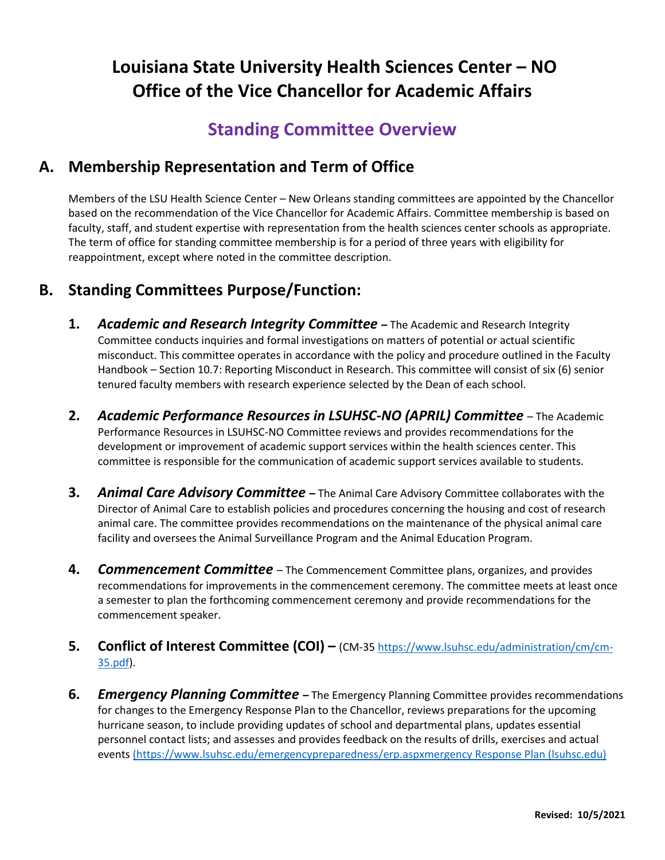# **Louisiana State University Health Sciences Center – NO Office of the Vice Chancellor for Academic Affairs**

## **Standing Committee Overview**

### **A. Membership Representation and Term of Office**

Members of the LSU Health Science Center – New Orleans standing committees are appointed by the Chancellor based on the recommendation of the Vice Chancellor for Academic Affairs. Committee membership is based on faculty, staff, and student expertise with representation from the health sciences center schools as appropriate. The term of office for standing committee membership is for a period of three years with eligibility for reappointment, except where noted in the committee description.

### **B. Standing Committees Purpose/Function:**

- **1.** *Academic and Research Integrity Committee* **–** The Academic and Research Integrity Committee conducts inquiries and formal investigations on matters of potential or actual scientific misconduct. This committee operates in accordance with the policy and procedure outlined in the Faculty Handbook – Section 10.7: Reporting Misconduct in Research. This committee will consist of six (6) senior tenured faculty members with research experience selected by the Dean of each school.
- **2.** *Academic Performance Resources in LSUHSC-NO (APRIL) Committee* The Academic Performance Resources in LSUHSC-NO Committee reviews and provides recommendations for the development or improvement of academic support services within the health sciences center. This committee is responsible for the communication of academic support services available to students.
- **3.** *Animal Care Advisory Committee* **–** The Animal Care Advisory Committee collaborates with the Director of Animal Care to establish policies and procedures concerning the housing and cost of research animal care. The committee provides recommendations on the maintenance of the physical animal care facility and oversees the Animal Surveillance Program and the Animal Education Program.
- **4.** *Commencement Committee* The Commencement Committee plans, organizes, and provides recommendations for improvements in the commencement ceremony. The committee meets at least once a semester to plan the forthcoming commencement ceremony and provide recommendations for the commencement speaker.
- **5. Conflict of Interest Committee (COI) –** (CM-35 [https://www.lsuhsc.edu/administration/cm/cm-](https://www.lsuhsc.edu/administration/cm/cm-35.pdf)[35.pdf\)](https://www.lsuhsc.edu/administration/cm/cm-35.pdf).
- **6.** *Emergency Planning Committee –* The Emergency Planning Committee provides recommendations for changes to the Emergency Response Plan to the Chancellor, reviews preparations for the upcoming hurricane season, to include providing updates of school and departmental plans, updates essential personnel contact lists; and assesses and provides feedback on the results of drills, exercises and actual events [\(https://www.lsuhsc.edu/emergencypreparedness/erp.aspxmergency Response Plan \(lsuhsc.edu\)](file:///C:/Users/ajenk6/AppData/Local/Microsoft/Windows/INetCache/Content.Outlook/0U201IKK/(https:/www.lsuhsc.edu/emergencypreparedness/erp.aspxmergency%20Response%20Plan%20(lsuhsc.edu))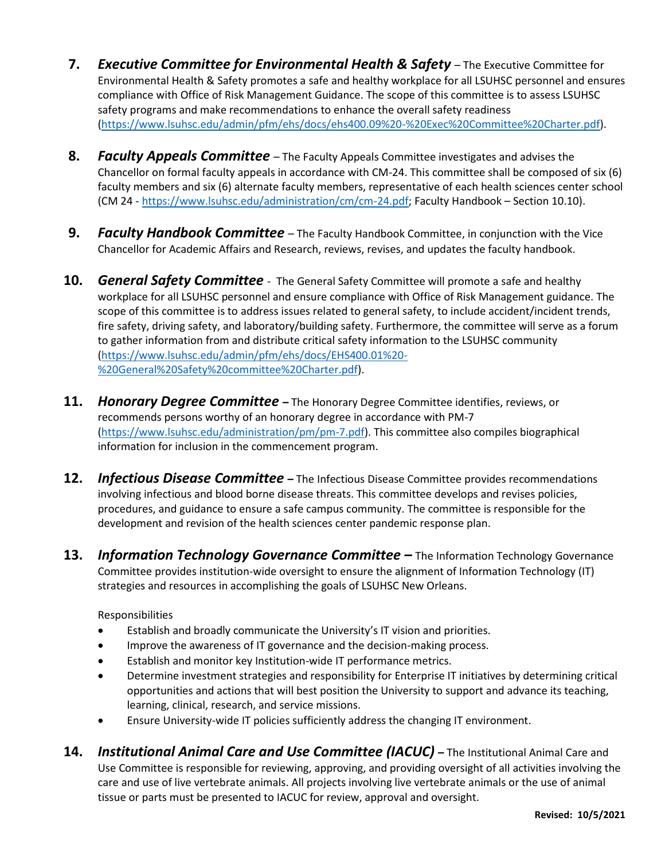- **7.** *Executive Committee for Environmental Health & Safety* The Executive Committee for Environmental Health & Safety promotes a safe and healthy workplace for all LSUHSC personnel and ensures compliance with Office of Risk Management Guidance. The scope of this committee is to assess LSUHSC safety programs and make recommendations to enhance the overall safety readiness [\(https://www.lsuhsc.edu/admin/pfm/ehs/docs/ehs400.09%20-%20Exec%20Committee%20Charter.pdf\)](https://www.lsuhsc.edu/admin/pfm/ehs/docs/ehs400.09%20-%20Exec%20Committee%20Charter.pdf).
- **8.** *Faculty Appeals Committee*  The Faculty Appeals Committee investigates and advises the Chancellor on formal faculty appeals in accordance with CM-24. This committee shall be composed of six (6) faculty members and six (6) alternate faculty members, representative of each health sciences center school (CM 24 - [https://www.lsuhsc.edu/administration/cm/cm-24.pdf;](https://www.lsuhsc.edu/administration/cm/cm-24.pdf) Faculty Handbook – Section 10.10).
- **9.** *Faculty Handbook Committee* The Faculty Handbook Committee, in conjunction with the Vice Chancellor for Academic Affairs and Research, reviews, revises, and updates the faculty handbook.
- **10.** *General Safety Committee* The General Safety Committee will promote a safe and healthy workplace for all LSUHSC personnel and ensure compliance with Office of Risk Management guidance. The scope of this committee is to address issues related to general safety, to include accident/incident trends, fire safety, driving safety, and laboratory/building safety. Furthermore, the committee will serve as a forum to gather information from and distribute critical safety information to the LSUHSC community [\(https://www.lsuhsc.edu/admin/pfm/ehs/docs/EHS400.01%20-](https://www.lsuhsc.edu/admin/pfm/ehs/docs/EHS400.01%20-%20General%20Safety%20committee%20Charter.pdf) [%20General%20Safety%20committee%20Charter.pdf\)](https://www.lsuhsc.edu/admin/pfm/ehs/docs/EHS400.01%20-%20General%20Safety%20committee%20Charter.pdf).
- **11.** *Honorary Degree Committee* **–** The Honorary Degree Committee identifies, reviews, or recommends persons worthy of an honorary degree in accordance with PM-7 [\(https://www.lsuhsc.edu/administration/pm/pm-7.pdf\)](https://www.lsuhsc.edu/administration/pm/pm-7.pdf). This committee also compiles biographical information for inclusion in the commencement program.
- **12.** *Infectious Disease Committee* **–** The Infectious Disease Committee provides recommendations involving infectious and blood borne disease threats. This committee develops and revises policies, procedures, and guidance to ensure a safe campus community. The committee is responsible for the development and revision of the health sciences center pandemic response plan.
- 13. *Information Technology Governance Committee* The Information Technology Governance Committee provides institution-wide oversight to ensure the alignment of Information Technology (IT) strategies and resources in accomplishing the goals of LSUHSC New Orleans.

Responsibilities

- Establish and broadly communicate the University's IT vision and priorities.
- Improve the awareness of IT governance and the decision-making process.
- Establish and monitor key Institution-wide IT performance metrics.
- Determine investment strategies and responsibility for Enterprise IT initiatives by determining critical opportunities and actions that will best position the University to support and advance its teaching, learning, clinical, research, and service missions.
- Ensure University-wide IT policies sufficiently address the changing IT environment.
- **14.** *Institutional Animal Care and Use Committee (IACUC)* **–** The Institutional Animal Care and Use Committee is responsible for reviewing, approving, and providing oversight of all activities involving the care and use of live vertebrate animals. All projects involving live vertebrate animals or the use of animal tissue or parts must be presented to IACUC for review, approval and oversight.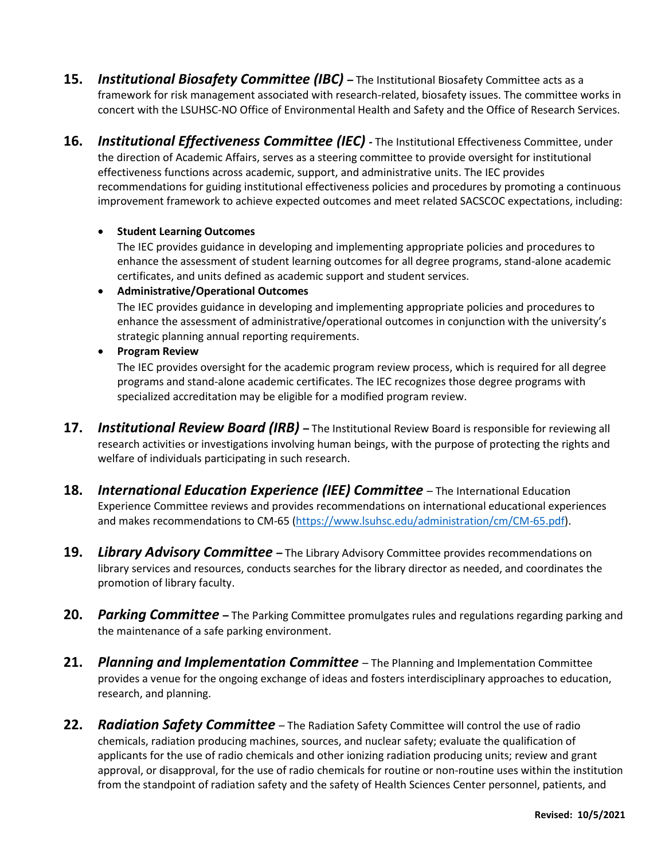- **15.** *Institutional Biosafety Committee (IBC) –* The Institutional Biosafety Committee acts as a framework for risk management associated with research-related, biosafety issues. The committee works in concert with the LSUHSC-NO Office of Environmental Health and Safety and the Office of Research Services.
- **16.** *Institutional Effectiveness Committee (IEC) -* The Institutional Effectiveness Committee, under the direction of Academic Affairs, serves as a steering committee to provide oversight for institutional effectiveness functions across academic, support, and administrative units. The IEC provides recommendations for guiding institutional effectiveness policies and procedures by promoting a continuous improvement framework to achieve expected outcomes and meet related SACSCOC expectations, including:

### • **Student Learning Outcomes**

The IEC provides guidance in developing and implementing appropriate policies and procedures to enhance the assessment of student learning outcomes for all degree programs, stand-alone academic certificates, and units defined as academic support and student services.

### • **Administrative/Operational Outcomes**

The IEC provides guidance in developing and implementing appropriate policies and procedures to enhance the assessment of administrative/operational outcomes in conjunction with the university's strategic planning annual reporting requirements.

### • **Program Review**

The IEC provides oversight for the academic program review process, which is required for all degree programs and stand-alone academic certificates. The IEC recognizes those degree programs with specialized accreditation may be eligible for a modified program review.

- **17.** *Institutional Review Board (IRB) –* The Institutional Review Board is responsible for reviewing all research activities or investigations involving human beings, with the purpose of protecting the rights and welfare of individuals participating in such research.
- **18.** *International Education Experience (IEE) Committee* The International Education Experience Committee reviews and provides recommendations on international educational experiences and makes recommendations to CM-65 [\(https://www.lsuhsc.edu/administration/cm/CM-65.pdf\)](https://www.lsuhsc.edu/administration/cm/CM-65.pdf).
- **19.** *Library Advisory Committee –* The Library Advisory Committee provides recommendations on library services and resources, conducts searches for the library director as needed, and coordinates the promotion of library faculty.
- **20.** *Parking Committee* **–** The Parking Committee promulgates rules and regulations regarding parking and the maintenance of a safe parking environment.
- **21.** *Planning and Implementation Committee* The Planning and Implementation Committee provides a venue for the ongoing exchange of ideas and fosters interdisciplinary approaches to education, research, and planning.
- **22.** *Radiation Safety Committee* The Radiation Safety Committee will control the use of radio chemicals, radiation producing machines, sources, and nuclear safety; evaluate the qualification of applicants for the use of radio chemicals and other ionizing radiation producing units; review and grant approval, or disapproval, for the use of radio chemicals for routine or non-routine uses within the institution from the standpoint of radiation safety and the safety of Health Sciences Center personnel, patients, and